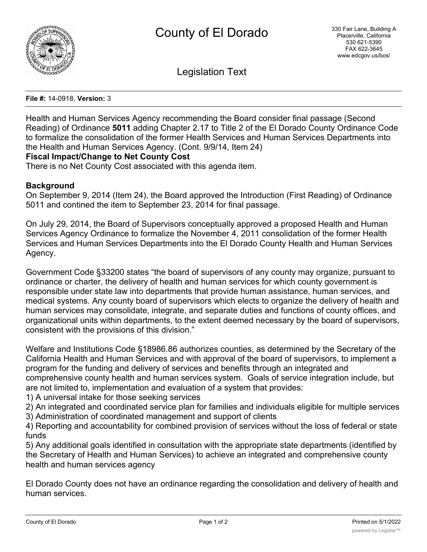

Legislation Text

**File #:** 14-0918, **Version:** 3

Health and Human Services Agency recommending the Board consider final passage (Second Reading) of Ordinance **5011** adding Chapter 2.17 to Title 2 of the El Dorado County Ordinance Code to formalize the consolidation of the former Health Services and Human Services Departments into the Health and Human Services Agency. (Cont. 9/9/14, Item 24)

# **Fiscal Impact/Change to Net County Cost**

There is no Net County Cost associated with this agenda item.

# **Background**

On September 9, 2014 (Item 24), the Board approved the Introduction (First Reading) of Ordinance 5011 and contined the item to September 23, 2014 for final passage.

On July 29, 2014, the Board of Supervisors conceptually approved a proposed Health and Human Services Agency Ordinance to formalize the November 4, 2011 consolidation of the former Health Services and Human Services Departments into the El Dorado County Health and Human Services Agency.

Government Code §33200 states "the board of supervisors of any county may organize, pursuant to ordinance or charter, the delivery of health and human services for which county government is responsible under state law into departments that provide human assistance, human services, and medical systems. Any county board of supervisors which elects to organize the delivery of health and human services may consolidate, integrate, and separate duties and functions of county offices, and organizational units within departments, to the extent deemed necessary by the board of supervisors, consistent with the provisions of this division."

Welfare and Institutions Code §18986.86 authorizes counties, as determined by the Secretary of the California Health and Human Services and with approval of the board of supervisors, to implement a program for the funding and delivery of services and benefits through an integrated and comprehensive county health and human services system. Goals of service integration include, but are not limited to, implementation and evaluation of a system that provides:

1) A universal intake for those seeking services

- 2) An integrated and coordinated service plan for families and individuals eligible for multiple services
- 3) Administration of coordinated management and support of clients

4) Reporting and accountability for combined provision of services without the loss of federal or state funds

5) Any additional goals identified in consultation with the appropriate state departments (identified by the Secretary of Health and Human Services) to achieve an integrated and comprehensive county health and human services agency

El Dorado County does not have an ordinance regarding the consolidation and delivery of health and human services.